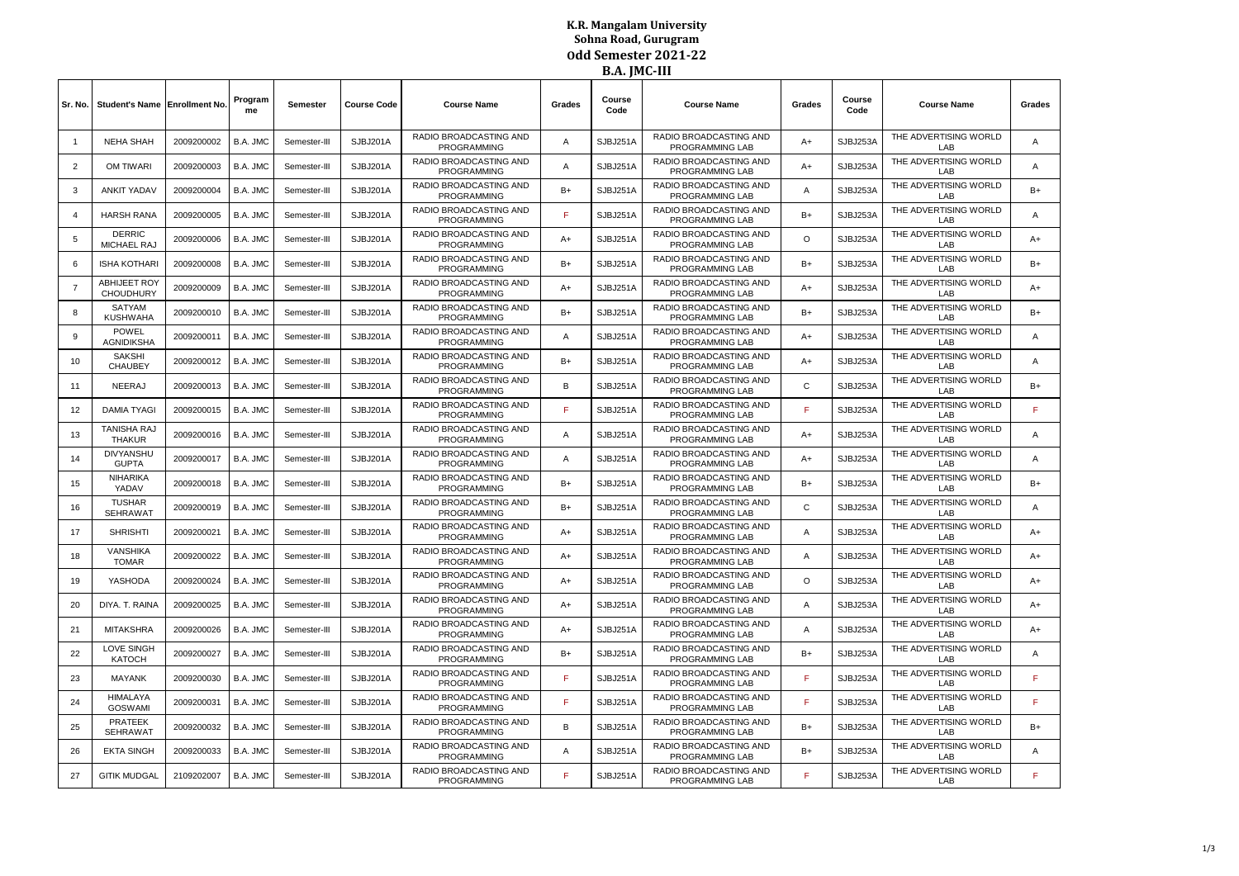## **K.R. Mangalam University Sohna Road, Gurugram Odd Semester 2021-22 B.A. JMC-III**

|                |                                         |            |               |                 |                    |                                                     |        | .              |                                                         |                         |                |                              |      |
|----------------|-----------------------------------------|------------|---------------|-----------------|--------------------|-----------------------------------------------------|--------|----------------|---------------------------------------------------------|-------------------------|----------------|------------------------------|------|
| Sr. No.        | Student's Name Enrollment No            |            | Program<br>me | <b>Semester</b> | <b>Course Code</b> | <b>Course Name</b>                                  | Grades | Course<br>Code | <b>Course Name</b>                                      | Grades                  | Course<br>Code | <b>Course Name</b>           |      |
| $\mathbf{1}$   | <b>NEHA SHAH</b>                        | 2009200002 | B.A. JMC      | Semester-III    | SJBJ201A           | RADIO BROADCASTING AND<br><b>PROGRAMMING</b>        | A      | SJBJ251A       | <b>RADIO BROADCASTING AND</b><br>PROGRAMMING LAB        | $A+$                    | SJBJ253A       | THE ADVERTISING WORLD<br>LAB | A    |
| $\overline{2}$ | OM TIWARI                               | 2009200003 | B.A. JMC      | Semester-III    | SJBJ201A           | RADIO BROADCASTING AND<br><b>PROGRAMMING</b>        | Α      | SJBJ251A       | RADIO BROADCASTING AND<br>PROGRAMMING LAB               | A+                      | SJBJ253A       | THE ADVERTISING WORLD<br>LAB | Α    |
| 3              | <b>ANKIT YADAV</b>                      | 2009200004 | B.A. JMC      | Semester-III    | SJBJ201A           | RADIO BROADCASTING AND<br><b>PROGRAMMING</b>        | B+     | SJBJ251A       | RADIO BROADCASTING AND<br>PROGRAMMING LAB               | A                       | SJBJ253A       | THE ADVERTISING WORLD<br>LAB | $B+$ |
| $\overline{4}$ | <b>HARSH RANA</b>                       | 2009200005 | B.A. JMC      | Semester-III    | SJBJ201A           | RADIO BROADCASTING AND<br><b>PROGRAMMING</b>        | F      | SJBJ251A       | RADIO BROADCASTING AND<br>PROGRAMMING LAB               | B+                      | SJBJ253A       | THE ADVERTISING WORLD<br>LAB | Α    |
| 5              | <b>DERRIC</b><br>MICHAEL RAJ            | 2009200006 | B.A. JMC      | Semester-III    | SJBJ201A           | <b>RADIO BROADCASTING AND</b><br>PROGRAMMING        | $A+$   | SJBJ251A       | <b>RADIO BROADCASTING AND</b><br>PROGRAMMING LAB        | O                       | SJBJ253A       | THE ADVERTISING WORLD<br>LAB | $A+$ |
| 6              | <b>ISHA KOTHARI</b>                     | 2009200008 | B.A. JMC      | Semester-III    | SJBJ201A           | RADIO BROADCASTING AND<br><b>PROGRAMMING</b>        | $B+$   | SJBJ251A       | RADIO BROADCASTING AND<br>PROGRAMMING LAB               | $B+$                    | SJBJ253A       | THE ADVERTISING WORLD<br>LAB | $B+$ |
| $\overline{7}$ | <b>ABHIJEET ROY</b><br><b>CHOUDHURY</b> | 2009200009 | B.A. JMC      | Semester-III    | SJBJ201A           | RADIO BROADCASTING AND<br><b>PROGRAMMING</b>        | A+     | SJBJ251A       | <b>RADIO BROADCASTING AND</b><br><b>PROGRAMMING LAB</b> | A+                      | SJBJ253A       | THE ADVERTISING WORLD<br>LAB | $A+$ |
| 8              | SATYAM<br><b>KUSHWAHA</b>               | 2009200010 | B.A. JMC      | Semester-III    | SJBJ201A           | RADIO BROADCASTING AND<br>PROGRAMMING               | B+     | SJBJ251A       | RADIO BROADCASTING AND<br>PROGRAMMING LAB               | B+                      | SJBJ253A       | THE ADVERTISING WORLD<br>LAB | $B+$ |
| 9              | POWEL<br><b>AGNIDIKSHA</b>              | 2009200011 | B.A. JMC      | Semester-III    | SJBJ201A           | RADIO BROADCASTING AND<br><b>PROGRAMMING</b>        | Α      | SJBJ251A       | RADIO BROADCASTING AND<br>PROGRAMMING LAB               | A+                      | SJBJ253A       | THE ADVERTISING WORLD<br>LAB | Α    |
| 10             | <b>SAKSHI</b><br>CHAUBEY                | 2009200012 | B.A. JMC      | Semester-III    | SJBJ201A           | <b>RADIO BROADCASTING AND</b><br><b>PROGRAMMING</b> | $B+$   | SJBJ251A       | <b>RADIO BROADCASTING AND</b><br>PROGRAMMING LAB        | $A+$                    | SJBJ253A       | THE ADVERTISING WORLD<br>LAB | A    |
| 11             | <b>NEERAJ</b>                           | 2009200013 | B.A. JMC      | Semester-III    | SJBJ201A           | RADIO BROADCASTING AND<br>PROGRAMMING               | B      | SJBJ251A       | RADIO BROADCASTING AND<br>PROGRAMMING LAB               | C                       | SJBJ253A       | THE ADVERTISING WORLD<br>LAB | $B+$ |
| 12             | <b>DAMIA TYAGI</b>                      | 2009200015 | B.A. JMC      | Semester-III    | SJBJ201A           | RADIO BROADCASTING AND<br><b>PROGRAMMING</b>        | F      | SJBJ251A       | RADIO BROADCASTING AND<br><b>PROGRAMMING LAB</b>        | F                       | SJBJ253A       | THE ADVERTISING WORLD<br>LAB | E.   |
| 13             | <b>TANISHA RAJ</b><br><b>THAKUR</b>     | 2009200016 | B.A. JMC      | Semester-III    | SJBJ201A           | RADIO BROADCASTING AND<br><b>PROGRAMMING</b>        | A      | SJBJ251A       | RADIO BROADCASTING AND<br>PROGRAMMING LAB               | $A+$                    | SJBJ253A       | THE ADVERTISING WORLD<br>LAB | A    |
| 14             | <b>DIVYANSHU</b><br><b>GUPTA</b>        | 2009200017 | B.A. JMC      | Semester-III    | SJBJ201A           | RADIO BROADCASTING AND<br><b>PROGRAMMING</b>        | Α      | SJBJ251A       | RADIO BROADCASTING AND<br>PROGRAMMING LAB               | A+                      | SJBJ253A       | THE ADVERTISING WORLD<br>LAB | Α    |
| 15             | <b>NIHARIKA</b><br>YADAV                | 2009200018 | B.A. JMC      | Semester-III    | SJBJ201A           | RADIO BROADCASTING AND<br><b>PROGRAMMING</b>        | $B+$   | SJBJ251A       | RADIO BROADCASTING AND<br>PROGRAMMING LAB               | $B+$                    | SJBJ253A       | THE ADVERTISING WORLD<br>LAB | $B+$ |
| 16             | <b>TUSHAR</b><br><b>SEHRAWAT</b>        | 2009200019 | B.A. JMC      | Semester-III    | SJBJ201A           | RADIO BROADCASTING AND<br><b>PROGRAMMING</b>        | $B+$   | SJBJ251A       | RADIO BROADCASTING AND<br>PROGRAMMING LAB               | C                       | SJBJ253A       | THE ADVERTISING WORLD<br>LAB | A    |
| 17             | <b>SHRISHTI</b>                         | 2009200021 | B.A. JMC      | Semester-III    | SJBJ201A           | RADIO BROADCASTING AND<br><b>PROGRAMMING</b>        | A+     | SJBJ251A       | <b>RADIO BROADCASTING AND</b><br><b>PROGRAMMING LAB</b> | A                       | SJBJ253A       | THE ADVERTISING WORLD<br>LAB | A+   |
| 18             | VANSHIKA<br><b>TOMAR</b>                | 2009200022 | B.A. JMC      | Semester-III    | SJBJ201A           | RADIO BROADCASTING AND<br><b>PROGRAMMING</b>        | A+     | SJBJ251A       | <b>RADIO BROADCASTING AND</b><br>PROGRAMMING LAB        | A                       | SJBJ253A       | THE ADVERTISING WORLD<br>LAB | $A+$ |
| 19             | YASHODA                                 | 2009200024 | B.A. JMC      | Semester-III    | SJBJ201A           | RADIO BROADCASTING AND<br><b>PROGRAMMING</b>        | A+     | SJBJ251A       | RADIO BROADCASTING AND<br>PROGRAMMING LAB               | $\circ$                 | SJBJ253A       | THE ADVERTISING WORLD<br>LAB | A+   |
| 20             | DIYA, T. RAINA                          | 2009200025 | B.A. JMC      | Semester-III    | SJBJ201A           | RADIO BROADCASTING AND<br><b>PROGRAMMING</b>        | $A+$   | SJBJ251A       | RADIO BROADCASTING AND<br>PROGRAMMING LAB               | A                       | SJBJ253A       | THE ADVERTISING WORLD<br>LAB | $A+$ |
| 21             | <b>MITAKSHRA</b>                        | 2009200026 | B.A. JMC      | Semester-III    | SJBJ201A           | RADIO BROADCASTING AND<br><b>PROGRAMMING</b>        | $A+$   | SJBJ251A       | RADIO BROADCASTING AND<br>PROGRAMMING LAB               | $\overline{\mathsf{A}}$ | SJBJ253A       | THE ADVERTISING WORLD<br>LAB | $A+$ |
| 22             | LOVE SINGH<br>KATOCH                    | 2009200027 | B.A. JMC      | Semester-III    | SJBJ201A           | RADIO BROADCASTING AND<br><b>PROGRAMMING</b>        | $B+$   | SJBJ251A       | RADIO BROADCASTING AND<br>PROGRAMMING LAB               | $B+$                    | SJBJ253A       | THE ADVERTISING WORLD<br>LAB | Α    |
| 23             | <b>MAYANK</b>                           | 2009200030 | B.A. JMC      | Semester-III    | SJBJ201A           | RADIO BROADCASTING AND<br><b>PROGRAMMING</b>        | F      | SJBJ251A       | RADIO BROADCASTING AND<br>PROGRAMMING LAB               | E                       | SJBJ253A       | THE ADVERTISING WORLD<br>LAB | È.   |
| 24             | HIMALAYA<br><b>GOSWAMI</b>              | 2009200031 | B.A. JMC      | Semester-III    | SJBJ201A           | RADIO BROADCASTING AND<br><b>PROGRAMMING</b>        | F      | SJBJ251A       | RADIO BROADCASTING AND<br>PROGRAMMING LAB               | F                       | SJBJ253A       | THE ADVERTISING WORLD<br>LAB | E.   |
| 25             | <b>PRATEEK</b><br><b>SEHRAWAT</b>       | 2009200032 | B.A. JMC      | Semester-III    | SJBJ201A           | RADIO BROADCASTING AND<br><b>PROGRAMMING</b>        | B      | SJBJ251A       | <b>RADIO BROADCASTING AND</b><br>PROGRAMMING LAB        | B+                      | SJBJ253A       | THE ADVERTISING WORLD<br>LAB | $B+$ |
| 26             | <b>EKTA SINGH</b>                       | 2009200033 | B.A. JMC      | Semester-III    | SJBJ201A           | RADIO BROADCASTING AND<br><b>PROGRAMMING</b>        | A      | SJBJ251A       | RADIO BROADCASTING AND<br>PROGRAMMING LAB               | $B+$                    | SJBJ253A       | THE ADVERTISING WORLD<br>LAB | A    |
| 27             | <b>GITIK MUDGAL</b>                     | 2109202007 | B.A. JMC      | Semester-III    | SJBJ201A           | RADIO BROADCASTING AND<br><b>PROGRAMMING</b>        | F.     | SJBJ251A       | RADIO BROADCASTING AND<br>PROGRAMMING LAB               | F                       | SJBJ253A       | THE ADVERTISING WORLD<br>LAB | F    |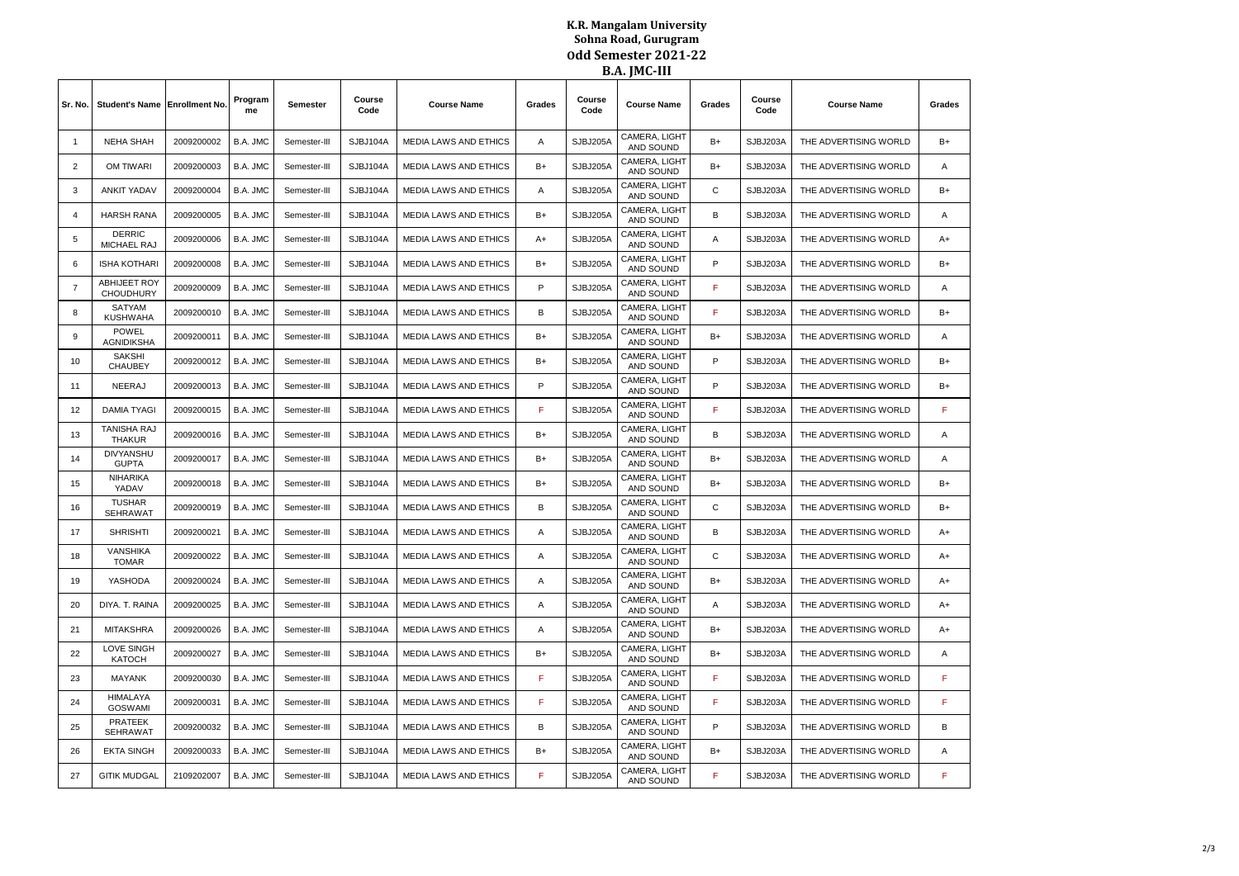## **K.R. Mangalam University Sohna Road, Gurugram Odd Semester 2021-22 B.A. JMC-III**

|                |                                         |            |               |              |                |                                                                                              |                                                                 | .                                                        |                                 |                       |                       |                       |        |
|----------------|-----------------------------------------|------------|---------------|--------------|----------------|----------------------------------------------------------------------------------------------|-----------------------------------------------------------------|----------------------------------------------------------|---------------------------------|-----------------------|-----------------------|-----------------------|--------|
| Sr. No.        | Student's Name Enrollment No.           |            | Program<br>me | Semester     | Course<br>Code | <b>Course Name</b>                                                                           | Grades                                                          | Course<br>Code                                           | <b>Course Name</b>              | Grades                | Course<br>Code        | <b>Course Name</b>    | Grades |
| $\overline{1}$ | <b>NEHA SHAH</b>                        | 2009200002 | B.A. JMC      | Semester-III | SJBJ104A       | <b>MEDIA LAWS AND ETHICS</b>                                                                 | $\overline{A}$                                                  | CAMERA, LIGHT<br>SJBJ205A<br>SJBJ203A<br>B+<br>AND SOUND |                                 | THE ADVERTISING WORLD | $B+$                  |                       |        |
| $\overline{2}$ | OM TIWARI                               | 2009200003 | B.A. JMC      | Semester-III | SJBJ104A       | <b>MEDIA LAWS AND ETHICS</b>                                                                 | $B+$                                                            | SJBJ205A                                                 | CAMERA, LIGHT<br>AND SOUND      | B+                    | SJBJ203A              | THE ADVERTISING WORLD |        |
| 3              | <b>ANKIT YADAV</b>                      | 2009200004 | B.A. JMC      | Semester-III | SJBJ104A       | CAMERA, LIGHT<br>С<br>SJBJ205A<br>SJBJ203A<br><b>MEDIA LAWS AND ETHICS</b><br>A<br>AND SOUND |                                                                 | THE ADVERTISING WORLD                                    | $B+$                            |                       |                       |                       |        |
| $\overline{4}$ | <b>HARSH RANA</b>                       | 2009200005 | B.A. JMC      | Semester-III | SJBJ104A       | MEDIA LAWS AND ETHICS                                                                        | CAMERA, LIGHT<br>в<br>$B+$<br>SJBJ205A<br>SJBJ203A<br>AND SOUND |                                                          | THE ADVERTISING WORLD           | Α                     |                       |                       |        |
| 5              | <b>DERRIC</b><br>MICHAEL RAJ            | 2009200006 | B.A. JMC      | Semester-III | SJBJ104A       | CAMERA, LIGHT<br>MEDIA LAWS AND ETHICS<br>SJBJ205A<br>SJBJ203A<br>A+<br>Α<br>AND SOUND       |                                                                 | THE ADVERTISING WORLD                                    | A+                              |                       |                       |                       |        |
| 6              | <b>ISHA KOTHARI</b>                     | 2009200008 | B.A. JMC      | Semester-III | SJBJ104A       | MEDIA LAWS AND ETHICS                                                                        | $B+$                                                            | SJBJ205A                                                 | CAMERA, LIGHT<br>AND SOUND      | P                     | SJBJ203A              | THE ADVERTISING WORLD | $B+$   |
| $\overline{7}$ | <b>ABHIJEET ROY</b><br><b>CHOUDHURY</b> | 2009200009 | B.A. JMC      | Semester-III | SJBJ104A       | MEDIA LAWS AND ETHICS                                                                        | CAMERA, LIGHT<br>F<br>P<br>SJBJ205A<br>SJBJ203A<br>AND SOUND    |                                                          | THE ADVERTISING WORLD           | A                     |                       |                       |        |
| 8              | SATYAM<br><b>KUSHWAHA</b>               | 2009200010 | B.A. JMC      | Semester-III | SJBJ104A       | MEDIA LAWS AND ETHICS                                                                        | В                                                               | CAMERA, LIGHT<br>F<br>SJBJ205A<br>SJBJ203A<br>AND SOUND  |                                 | THE ADVERTISING WORLD | B+                    |                       |        |
| 9              | POWEL<br><b>AGNIDIKSHA</b>              | 2009200011 | B.A. JMC      | Semester-III | SJBJ104A       | MEDIA LAWS AND ETHICS                                                                        | CAMERA, LIGHT<br>$B+$<br>SJBJ205A<br>AND SOUND                  |                                                          | B+                              | SJBJ203A              | THE ADVERTISING WORLD | Α                     |        |
| 10             | <b>SAKSHI</b><br><b>CHAUBEY</b>         | 2009200012 | B.A. JMC      | Semester-III | SJBJ104A       | <b>MEDIA LAWS AND ETHICS</b>                                                                 | $B+$                                                            | SJBJ205A                                                 | CAMERA, LIGHT<br>P<br>AND SOUND |                       | SJBJ203A              | THE ADVERTISING WORLD | $B+$   |
| 11             | NEERAJ                                  | 2009200013 | B.A. JMC      | Semester-III | SJBJ104A       | MEDIA LAWS AND ETHICS                                                                        | P                                                               | CAMERA, LIGHT<br>P<br>SJBJ205A<br>AND SOUND              |                                 | SJBJ203A              | THE ADVERTISING WORLD | $B+$                  |        |
| 12             | <b>DAMIA TYAGI</b>                      | 2009200015 | B.A. JMC      | Semester-III | SJBJ104A       | MEDIA LAWS AND ETHICS                                                                        | F                                                               | SJBJ205A                                                 | CAMERA, LIGHT<br>AND SOUND      | F                     | SJBJ203A              | THE ADVERTISING WORLD | F      |
| 13             | <b>TANISHA RAJ</b><br><b>THAKUR</b>     | 2009200016 | B.A. JMC      | Semester-III | SJBJ104A       | MEDIA LAWS AND ETHICS                                                                        | $B+$                                                            | SJBJ205A                                                 | CAMERA, LIGHT<br>AND SOUND      | B                     | SJBJ203A              | THE ADVERTISING WORLD | Α      |
| 14             | <b>DIVYANSHU</b><br><b>GUPTA</b>        | 2009200017 | B.A. JMC      | Semester-III | SJBJ104A       | MEDIA LAWS AND ETHICS                                                                        | B+                                                              | SJBJ205A                                                 | CAMERA, LIGHT<br>AND SOUND      | B+                    | SJBJ203A              | THE ADVERTISING WORLD | Α      |
| 15             | <b>NIHARIKA</b><br>YADAV                | 2009200018 | B.A. JMC      | Semester-III | SJBJ104A       | MEDIA LAWS AND ETHICS                                                                        | $B+$                                                            | SJBJ205A                                                 | CAMERA, LIGHT<br>AND SOUND      | B+                    | SJBJ203A              | THE ADVERTISING WORLD | $B+$   |
| 16             | <b>TUSHAR</b><br><b>SEHRAWAT</b>        | 2009200019 | B.A. JMC      | Semester-III | SJBJ104A       | MEDIA LAWS AND ETHICS                                                                        | B                                                               | SJBJ205A                                                 | CAMERA, LIGHT<br>AND SOUND      | $\mathsf{C}$          | SJBJ203A              | THE ADVERTISING WORLD | $B+$   |
| 17             | <b>SHRISHTI</b>                         | 2009200021 | B.A. JMC      | Semester-III | SJBJ104A       | MEDIA LAWS AND ETHICS                                                                        | Α                                                               | SJBJ205A                                                 | CAMERA, LIGHT<br>AND SOUND      | B                     | SJBJ203A              | THE ADVERTISING WORLD | A+     |
| 18             | <b>VANSHIKA</b><br><b>TOMAR</b>         | 2009200022 | B.A. JMC      | Semester-III | SJBJ104A       | <b>MEDIA LAWS AND ETHICS</b>                                                                 | A                                                               | SJBJ205A                                                 | CAMERA, LIGHT<br>AND SOUND      | С                     | SJBJ203A              | THE ADVERTISING WORLD | A+     |
| 19             | YASHODA                                 | 2009200024 | B.A. JMC      | Semester-III | SJBJ104A       | <b>MEDIA LAWS AND ETHICS</b>                                                                 | $\overline{A}$                                                  | SJBJ205A                                                 | CAMERA, LIGHT<br>AND SOUND      | $B+$<br>SJBJ203A      |                       | THE ADVERTISING WORLD | $A+$   |
| 20             | DIYA. T. RAINA                          | 2009200025 | B.A. JMC      | Semester-III | SJBJ104A       | MEDIA LAWS AND ETHICS                                                                        | Α                                                               | SJBJ205A                                                 | CAMERA, LIGHT<br>AND SOUND      | SJBJ203A<br>Α         |                       | THE ADVERTISING WORLD | $A+$   |
| 21             | <b>MITAKSHRA</b>                        | 2009200026 | B.A. JMC      | Semester-III | SJBJ104A       | MEDIA LAWS AND ETHICS                                                                        | A                                                               | SJBJ205A                                                 | CAMERA, LIGHT<br>AND SOUND      | SJBJ203A<br>B+        |                       | THE ADVERTISING WORLD | $A+$   |
| 22             | <b>LOVE SINGH</b><br><b>KATOCH</b>      | 2009200027 | B.A. JMC      | Semester-III | SJBJ104A       | MEDIA LAWS AND ETHICS                                                                        | $B+$                                                            | SJBJ205A                                                 | CAMERA, LIGHT<br>AND SOUND      | B+                    | SJBJ203A              | THE ADVERTISING WORLD | A      |
| 23             | <b>MAYANK</b>                           | 2009200030 | B.A. JMC      | Semester-III | SJBJ104A       | MEDIA LAWS AND ETHICS                                                                        | F.                                                              | SJBJ205A                                                 | CAMERA, LIGHT<br>AND SOUND      | F                     | SJBJ203A              | THE ADVERTISING WORLD | F      |
| 24             | HIMALAYA<br><b>GOSWAMI</b>              | 2009200031 | B.A. JMC      | Semester-III | SJBJ104A       | MEDIA LAWS AND ETHICS                                                                        | F                                                               | SJBJ205A                                                 | CAMERA, LIGHT<br>AND SOUND      | F                     | SJBJ203A              | THE ADVERTISING WORLD | F.     |
| 25             | PRATEEK<br><b>SEHRAWAT</b>              | 2009200032 | B.A. JMC      | Semester-III | SJBJ104A       | MEDIA LAWS AND ETHICS                                                                        | B                                                               | SJBJ205A                                                 | CAMERA, LIGHT<br>AND SOUND      | P                     | SJBJ203A              | THE ADVERTISING WORLD | B      |
| 26             | <b>EKTA SINGH</b>                       | 2009200033 | B.A. JMC      | Semester-III | SJBJ104A       | MEDIA LAWS AND ETHICS                                                                        | B+                                                              | SJBJ205A                                                 | CAMERA, LIGHT<br>AND SOUND      | B+                    | SJBJ203A              | THE ADVERTISING WORLD | Α      |
| 27             | <b>GITIK MUDGAL</b>                     | 2109202007 | B.A. JMC      | Semester-III | SJBJ104A       | MEDIA LAWS AND ETHICS                                                                        | F.                                                              | SJBJ205A                                                 | CAMERA, LIGHT<br>AND SOUND      | F                     | SJBJ203A              | THE ADVERTISING WORLD | F.     |